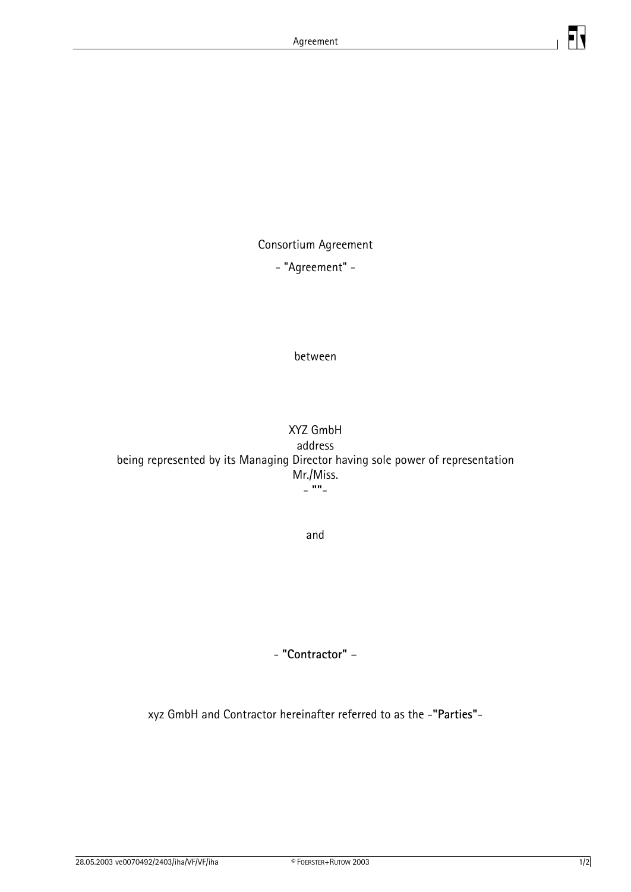

Consortium Agreement

- "Agreement" -

between

XYZ GmbH address being represented by its Managing Director having sole power of representation Mr./Miss. - **""**-

and

- **"Contractor"** –

xyz GmbH and Contractor hereinafter referred to as the -**"Parties"**-